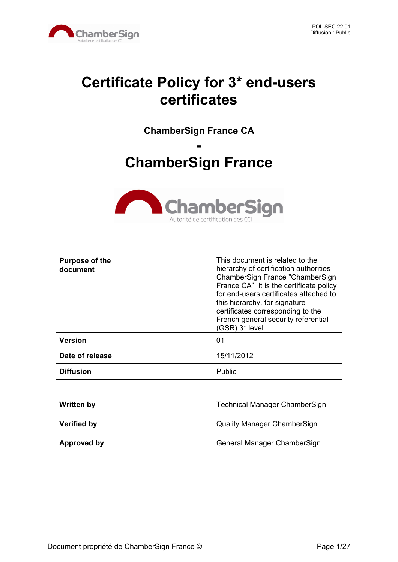

# **Certificate Policy for 3\* end-users certificates**

**ChamberSign France CA**

# **- ChamberSign France**



| <b>Purpose of the</b><br>document | This document is related to the<br>hierarchy of certification authorities<br>ChamberSign France "ChamberSign<br>France CA". It is the certificate policy<br>for end-users certificates attached to<br>this hierarchy, for signature<br>certificates corresponding to the<br>French general security referential<br>$(GSR)$ 3* level. |
|-----------------------------------|--------------------------------------------------------------------------------------------------------------------------------------------------------------------------------------------------------------------------------------------------------------------------------------------------------------------------------------|
| <b>Version</b>                    | 01                                                                                                                                                                                                                                                                                                                                   |
| Date of release                   | 15/11/2012                                                                                                                                                                                                                                                                                                                           |
| <b>Diffusion</b>                  | Public                                                                                                                                                                                                                                                                                                                               |

| <b>Written by</b>  | <b>Technical Manager ChamberSign</b> |
|--------------------|--------------------------------------|
| <b>Verified by</b> | <b>Quality Manager ChamberSign</b>   |
| Approved by        | General Manager ChamberSign          |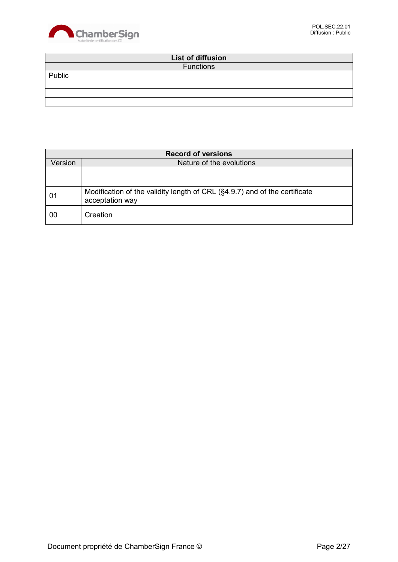

|        | List of diffusion |  |
|--------|-------------------|--|
|        | <b>Functions</b>  |  |
| Public |                   |  |
|        |                   |  |
|        |                   |  |
|        |                   |  |

| <b>Record of versions</b> |                                                                                               |
|---------------------------|-----------------------------------------------------------------------------------------------|
| Version                   | Nature of the evolutions                                                                      |
|                           |                                                                                               |
|                           |                                                                                               |
| 01                        | Modification of the validity length of CRL (§4.9.7) and of the certificate<br>acceptation way |
| 00                        | Creation                                                                                      |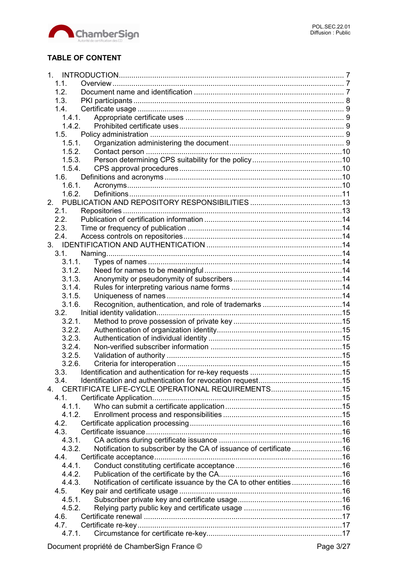

# **TABLE OF CONTENT**

| 1.1.                                                                          |  |
|-------------------------------------------------------------------------------|--|
| 1.2.                                                                          |  |
| 1.3.                                                                          |  |
| 1.4.                                                                          |  |
| 1.4.1.                                                                        |  |
| 1.4.2.                                                                        |  |
| 1.5.                                                                          |  |
| 1.5.1.                                                                        |  |
| 1.5.2.                                                                        |  |
| 1.5.3.                                                                        |  |
| 1.5.4.                                                                        |  |
| 1.6.                                                                          |  |
| 1.6.1.                                                                        |  |
| 1.6.2.                                                                        |  |
| 2 <sub>1</sub>                                                                |  |
| 2.1.                                                                          |  |
| 2.2.                                                                          |  |
|                                                                               |  |
| 2.3.<br>2.4.                                                                  |  |
|                                                                               |  |
|                                                                               |  |
| 3.1.                                                                          |  |
| 3.1.1.                                                                        |  |
| 3.1.2.                                                                        |  |
| 3.1.3.                                                                        |  |
| 3.1.4.                                                                        |  |
| 3.1.5.                                                                        |  |
| 3.1.6.                                                                        |  |
| 3.2.                                                                          |  |
| 3.2.1.                                                                        |  |
| 3.2.2.                                                                        |  |
| 3.2.3.                                                                        |  |
| 3.2.4.                                                                        |  |
| 3.2.5.                                                                        |  |
| 3.2.6.                                                                        |  |
| 3.3.                                                                          |  |
| 3.4.                                                                          |  |
| CERTIFICATE LIFE-CYCLE OPERATIONAL REQUIREMENTS15<br>4                        |  |
| 4.1                                                                           |  |
| 4.1.1.                                                                        |  |
| 4.1.2.                                                                        |  |
| 4.2.                                                                          |  |
| 4.3.                                                                          |  |
| 4.3.1.                                                                        |  |
| Notification to subscriber by the CA of issuance of certificate 16<br>4.3.2.  |  |
| 4.4.                                                                          |  |
| 4.4.1.                                                                        |  |
| 4.4.2.                                                                        |  |
| Notification of certificate issuance by the CA to other entities 16<br>4.4.3. |  |
| 4.5.                                                                          |  |
| 4.5.1.                                                                        |  |
| 4.5.2.                                                                        |  |
| 4.6.                                                                          |  |
| 4.7.                                                                          |  |
| 4.7.1.                                                                        |  |
|                                                                               |  |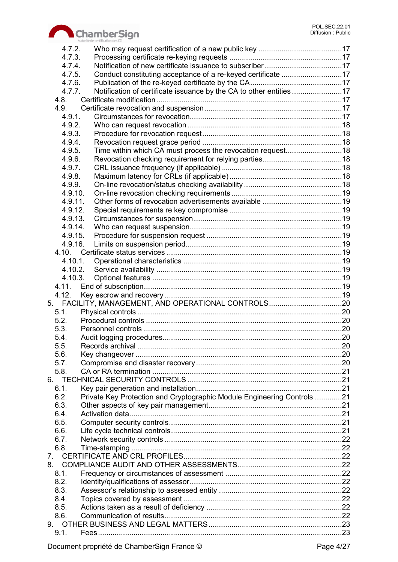

|         | Autorité de certification des CCI                                       |  |
|---------|-------------------------------------------------------------------------|--|
| 4.7.2.  |                                                                         |  |
| 4.7.3.  |                                                                         |  |
| 4.7.4.  |                                                                         |  |
| 4.7.5.  | Conduct constituting acceptance of a re-keyed certificate 17            |  |
| 4.7.6.  |                                                                         |  |
| 4.7.7.  | Notification of certificate issuance by the CA to other entities 17     |  |
| 4.8.    |                                                                         |  |
| 4.9.    |                                                                         |  |
| 4.9.1.  |                                                                         |  |
| 4.9.2.  |                                                                         |  |
| 4.9.3.  |                                                                         |  |
| 4.9.4.  |                                                                         |  |
| 4.9.5.  |                                                                         |  |
| 4.9.6.  |                                                                         |  |
| 4.9.7.  |                                                                         |  |
| 4.9.8.  |                                                                         |  |
| 4.9.9.  |                                                                         |  |
| 4.9.10. |                                                                         |  |
| 4.9.11. |                                                                         |  |
| 4.9.12. |                                                                         |  |
| 4.9.13. |                                                                         |  |
| 4.9.14. |                                                                         |  |
| 4.9.15. |                                                                         |  |
| 4.9.16. |                                                                         |  |
|         |                                                                         |  |
|         |                                                                         |  |
| 4.10.1. |                                                                         |  |
|         | 4.10.2.                                                                 |  |
| 4.10.3. |                                                                         |  |
| 4.11.   |                                                                         |  |
| 4.12.   |                                                                         |  |
|         | 5. FACILITY, MANAGEMENT, AND OPERATIONAL CONTROLS20                     |  |
| 5.1.    |                                                                         |  |
| 5.2.    |                                                                         |  |
| 5.3.    |                                                                         |  |
| 5.4     |                                                                         |  |
| 5.5.    |                                                                         |  |
| 5.6.    |                                                                         |  |
| 5.7.    |                                                                         |  |
| 5.8.    |                                                                         |  |
|         |                                                                         |  |
| 6.1.    |                                                                         |  |
| 6.2.    | Private Key Protection and Cryptographic Module Engineering Controls 21 |  |
| 6.3.    |                                                                         |  |
| 6.4.    |                                                                         |  |
| 6.5.    |                                                                         |  |
| 6.6.    |                                                                         |  |
| 6.7.    |                                                                         |  |
| 6.8.    |                                                                         |  |
|         |                                                                         |  |
|         |                                                                         |  |
| 8.1.    |                                                                         |  |
| 8.2.    |                                                                         |  |
| 8.3.    |                                                                         |  |
| 8.4.    |                                                                         |  |
| 8.5.    |                                                                         |  |
| 8.6.    |                                                                         |  |
| 9.      |                                                                         |  |
| 9.1.    |                                                                         |  |
|         |                                                                         |  |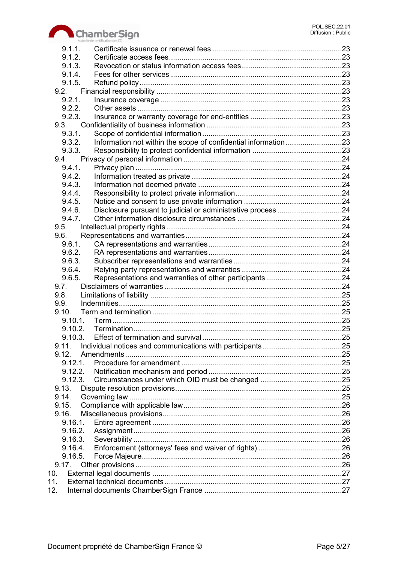

|       | 9.1.1.     |                                                                 |  |
|-------|------------|-----------------------------------------------------------------|--|
|       | 9.1.2.     |                                                                 |  |
|       | 9.1.3.     |                                                                 |  |
|       | 9.1.4.     |                                                                 |  |
|       | 9.1.5.     |                                                                 |  |
|       | 9.2.       |                                                                 |  |
|       | 9.2.1.     |                                                                 |  |
|       | 9.2.2.     |                                                                 |  |
|       | 9.2.3.     |                                                                 |  |
|       | 9.3.       |                                                                 |  |
|       | 9.3.1.     |                                                                 |  |
|       |            |                                                                 |  |
|       | 9.3.2.     | Information not within the scope of confidential information 23 |  |
|       | 9.3.3.     |                                                                 |  |
|       | 9.4.       |                                                                 |  |
|       | 9.4.1.     |                                                                 |  |
|       | 9.4.2.     |                                                                 |  |
|       | 9.4.3.     |                                                                 |  |
|       | 9.4.4.     |                                                                 |  |
|       | 9.4.5.     |                                                                 |  |
|       | 9.4.6.     |                                                                 |  |
|       | 9.4.7.     |                                                                 |  |
|       | 9.5.       |                                                                 |  |
|       | 9.6.       |                                                                 |  |
|       | 9.6.1.     |                                                                 |  |
|       |            |                                                                 |  |
|       | 9.6.2.     |                                                                 |  |
|       | 9.6.3.     |                                                                 |  |
|       | 9.6.4.     |                                                                 |  |
|       | 9.6.5.     |                                                                 |  |
| 9.7.  |            |                                                                 |  |
| 9.8.  |            |                                                                 |  |
| 9.9.  |            |                                                                 |  |
| 9.10. |            |                                                                 |  |
|       | 9.10.1.    |                                                                 |  |
|       |            |                                                                 |  |
|       |            |                                                                 |  |
| 9.11. |            |                                                                 |  |
| 9.12. |            |                                                                 |  |
|       | $9.12.1$ . |                                                                 |  |
|       | 9.12.2.    |                                                                 |  |
|       |            |                                                                 |  |
|       | 9.12.3.    |                                                                 |  |
| 9.13. |            |                                                                 |  |
| 9.14. |            |                                                                 |  |
| 9.15. |            |                                                                 |  |
| 9.16. |            |                                                                 |  |
|       |            |                                                                 |  |
|       | 9.16.2.    |                                                                 |  |
|       | 9.16.3.    |                                                                 |  |
|       | 9.16.4.    |                                                                 |  |
|       | 9.16.5.    |                                                                 |  |
|       | 9.17.      |                                                                 |  |
| 10.   |            |                                                                 |  |
| 11.   |            |                                                                 |  |
| 12.   |            |                                                                 |  |
|       |            |                                                                 |  |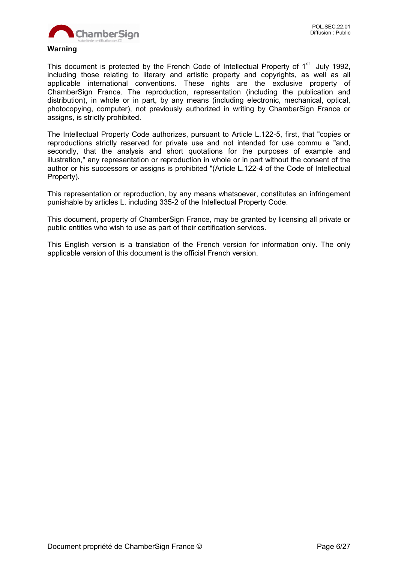

#### **Warning**

This document is protected by the French Code of Intellectual Property of 1<sup>st</sup> July 1992, including those relating to literary and artistic property and copyrights, as well as all applicable international conventions. These rights are the exclusive property of ChamberSign France. The reproduction, representation (including the publication and distribution), in whole or in part, by any means (including electronic, mechanical, optical, photocopying, computer), not previously authorized in writing by ChamberSign France or assigns, is strictly prohibited.

The Intellectual Property Code authorizes, pursuant to Article L.122-5, first, that "copies or reproductions strictly reserved for private use and not intended for use commu e "and, secondly, that the analysis and short quotations for the purposes of example and illustration," any representation or reproduction in whole or in part without the consent of the author or his successors or assigns is prohibited "(Article L.122-4 of the Code of Intellectual Property).

This representation or reproduction, by any means whatsoever, constitutes an infringement punishable by articles L. including 335-2 of the Intellectual Property Code.

This document, property of ChamberSign France, may be granted by licensing all private or public entities who wish to use as part of their certification services.

This English version is a translation of the French version for information only. The only applicable version of this document is the official French version.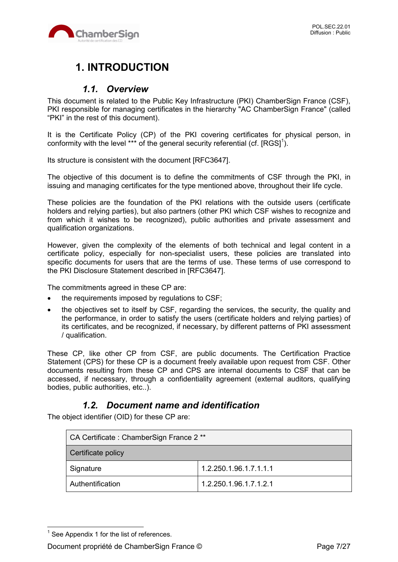

# **1. INTRODUCTION**

# *1.1. Overview*

This document is related to the Public Key Infrastructure (PKI) ChamberSign France (CSF), PKI responsible for managing certificates in the hierarchy "AC ChamberSign France" (called "PKI" in the rest of this document).

It is the Certificate Policy (CP) of the PKI covering certificates for physical person, in conformity with the level \*\*\* of the general security referential (cf.  $[{\rm RGS]}^{1}$ ).

Its structure is consistent with the document [RFC3647].

The objective of this document is to define the commitments of CSF through the PKI, in issuing and managing certificates for the type mentioned above, throughout their life cycle.

These policies are the foundation of the PKI relations with the outside users (certificate holders and relying parties), but also partners (other PKI which CSF wishes to recognize and from which it wishes to be recognized), public authorities and private assessment and qualification organizations.

However, given the complexity of the elements of both technical and legal content in a certificate policy, especially for non-specialist users, these policies are translated into specific documents for users that are the terms of use. These terms of use correspond to the PKI Disclosure Statement described in [RFC3647].

The commitments agreed in these CP are:

- the requirements imposed by regulations to CSF;
- the objectives set to itself by CSF, regarding the services, the security, the quality and the performance, in order to satisfy the users (certificate holders and relying parties) of its certificates, and be recognized, if necessary, by different patterns of PKI assessment / qualification.

These CP, like other CP from CSF, are public documents. The Certification Practice Statement (CPS) for these CP is a document freely available upon request from CSF. Other documents resulting from these CP and CPS are internal documents to CSF that can be accessed, if necessary, through a confidentiality agreement (external auditors, qualifying bodies, public authorities, etc..).

# *1.2. Document name and identification*

The object identifier (OID) for these CP are:

| CA Certificate: ChamberSign France 2 ** |                        |
|-----------------------------------------|------------------------|
| Certificate policy                      |                        |
| Signature                               | 1.2.250.1.96.1.7.1.1.1 |
| Authentification                        | 1.2.250.1.96.1.7.1.2.1 |

 $\overline{a}$ 

 $<sup>1</sup>$  See Appendix 1 for the list of references.</sup>

Document propriété de ChamberSign France © Page 7/27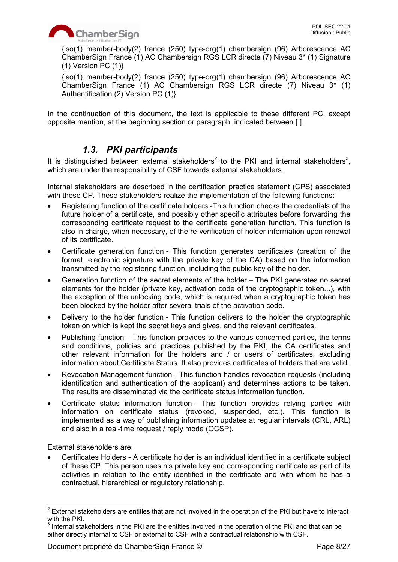{iso(1) member-body(2) france (250) type-org(1) chambersign (96) Arborescence AC ChamberSign France (1) AC Chambersign RGS LCR directe (7) Niveau 3\* (1) Signature  $(1)$  Version PC  $(1)$ }

{iso(1) member-body(2) france (250) type-org(1) chambersign (96) Arborescence AC ChamberSign France (1) AC Chambersign RGS LCR directe (7) Niveau 3\* (1) Authentification (2) Version PC (1)}

In the continuation of this document, the text is applicable to these different PC, except opposite mention, at the beginning section or paragraph, indicated between [ ].

# *1.3. PKI participants*

It is distinguished between external stakeholders<sup>2</sup> to the PKI and internal stakeholders<sup>3</sup>, which are under the responsibility of CSF towards external stakeholders.

Internal stakeholders are described in the certification practice statement (CPS) associated with these CP. These stakeholders realize the implementation of the following functions:

- Registering function of the certificate holders -This function checks the credentials of the future holder of a certificate, and possibly other specific attributes before forwarding the corresponding certificate request to the certificate generation function. This function is also in charge, when necessary, of the re-verification of holder information upon renewal of its certificate.
- Certificate generation function This function generates certificates (creation of the format, electronic signature with the private key of the CA) based on the information transmitted by the registering function, including the public key of the holder.
- Generation function of the secret elements of the holder The PKI generates no secret elements for the holder (private key, activation code of the cryptographic token...), with the exception of the unlocking code, which is required when a cryptographic token has been blocked by the holder after several trials of the activation code.
- Delivery to the holder function This function delivers to the holder the cryptographic token on which is kept the secret keys and gives, and the relevant certificates.
- Publishing function This function provides to the various concerned parties, the terms and conditions, policies and practices published by the PKI, the CA certificates and other relevant information for the holders and / or users of certificates, excluding information about Certificate Status. It also provides certificates of holders that are valid.
- Revocation Management function This function handles revocation requests (including identification and authentication of the applicant) and determines actions to be taken. The results are disseminated via the certificate status information function.
- Certificate status information function This function provides relying parties with information on certificate status (revoked, suspended, etc.). This function is implemented as a way of publishing information updates at regular intervals (CRL, ARL) and also in a real-time request / reply mode (OCSP).

External stakeholders are:

 Certificates Holders - A certificate holder is an individual identified in a certificate subject of these CP. This person uses his private key and corresponding certificate as part of its activities in relation to the entity identified in the certificate and with whom he has a contractual, hierarchical or regulatory relationship.

<sup>&</sup>lt;u>2</u><br><sup>2</sup> External stakeholders are entities that are not involved in the operation of the PKI but have to interact with the PKI.

 $3$  Internal stakeholders in the PKI are the entities involved in the operation of the PKI and that can be either directly internal to CSF or external to CSF with a contractual relationship with CSF.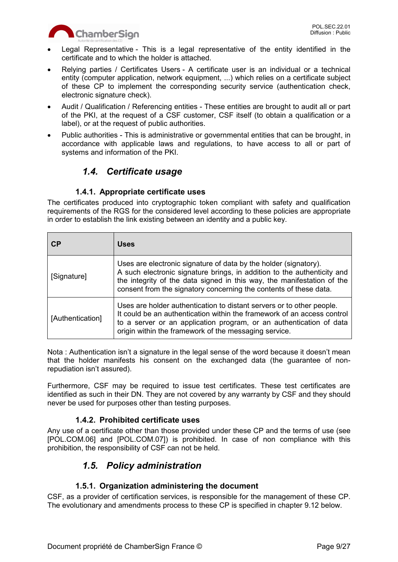

- Legal Representative This is a legal representative of the entity identified in the certificate and to which the holder is attached.
- Relying parties / Certificates Users A certificate user is an individual or a technical entity (computer application, network equipment, ...) which relies on a certificate subject of these CP to implement the corresponding security service (authentication check, electronic signature check).
- Audit / Qualification / Referencing entities These entities are brought to audit all or part of the PKI, at the request of a CSF customer, CSF itself (to obtain a qualification or a label), or at the request of public authorities.
- Public authorities This is administrative or governmental entities that can be brought, in accordance with applicable laws and regulations, to have access to all or part of systems and information of the PKI.

# *1.4. Certificate usage*

## **1.4.1. Appropriate certificate uses**

The certificates produced into cryptographic token compliant with safety and qualification requirements of the RGS for the considered level according to these policies are appropriate in order to establish the link existing between an identity and a public key.

| <b>CP</b>        | <b>Uses</b>                                                                                                                                                                                                                                                                                |
|------------------|--------------------------------------------------------------------------------------------------------------------------------------------------------------------------------------------------------------------------------------------------------------------------------------------|
| [Signature]      | Uses are electronic signature of data by the holder (signatory).<br>A such electronic signature brings, in addition to the authenticity and<br>the integrity of the data signed in this way, the manifestation of the<br>consent from the signatory concerning the contents of these data. |
| [Authentication] | Uses are holder authentication to distant servers or to other people.<br>It could be an authentication within the framework of an access control<br>to a server or an application program, or an authentication of data<br>origin within the framework of the messaging service.           |

Nota : Authentication isn't a signature in the legal sense of the word because it doesn't mean that the holder manifests his consent on the exchanged data (the guarantee of nonrepudiation isn't assured).

Furthermore, CSF may be required to issue test certificates. These test certificates are identified as such in their DN. They are not covered by any warranty by CSF and they should never be used for purposes other than testing purposes.

### **1.4.2. Prohibited certificate uses**

Any use of a certificate other than those provided under these CP and the terms of use (see [POL.COM.06] and [POL.COM.07]) is prohibited. In case of non compliance with this prohibition, the responsibility of CSF can not be held.

# *1.5. Policy administration*

## **1.5.1. Organization administering the document**

CSF, as a provider of certification services, is responsible for the management of these CP. The evolutionary and amendments process to these CP is specified in chapter 9.12 below.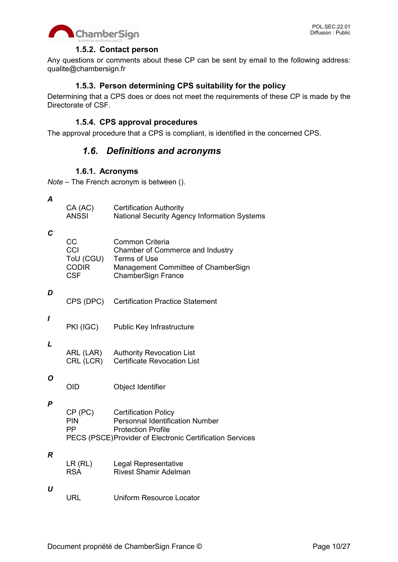

#### **1.5.2. Contact person**

Any questions or comments about these CP can be sent by email to the following address: qualite@chambersign.fr

#### **1.5.3. Person determining CPS suitability for the policy**

Determining that a CPS does or does not meet the requirements of these CP is made by the Directorate of CSF.

#### **1.5.4. CPS approval procedures**

The approval procedure that a CPS is compliant, is identified in the concerned CPS.

# *1.6. Definitions and acronyms*

#### **1.6.1. Acronyms**

*Note* – The French acronym is between ().

*A*

| CA(AC) | <b>Certification Authority</b>                      |
|--------|-----------------------------------------------------|
| ANSSI  | <b>National Security Agency Information Systems</b> |

*C*

| CC           | Common Criteria                     |
|--------------|-------------------------------------|
| CCI          | Chamber of Commerce and Industry    |
| ToU (CGU)    | Terms of Use                        |
| <b>CODIR</b> | Management Committee of ChamberSign |
| CSF          | ChamberSign France                  |

*D*

CPS (DPC) Certification Practice Statement

*I*

PKI (IGC) Public Key Infrastructure

#### *L*

ARL (LAR) Authority Revocation List<br>CRL (LCR) Certificate Revocation Lis **Certificate Revocation List** 

#### *O*

OID Object Identifier

#### *P*

| CP (PC)    | <b>Certification Policy</b>                               |
|------------|-----------------------------------------------------------|
| <b>PIN</b> | <b>Personnal Identification Number</b>                    |
| <b>PP</b>  | <b>Protection Profile</b>                                 |
|            | PECS (PSCE) Provider of Electronic Certification Services |

#### *R*

| LR(RL)     | Legal Representative         |
|------------|------------------------------|
| <b>RSA</b> | <b>Rivest Shamir Adelman</b> |

#### *U*

URL Uniform Resource Locator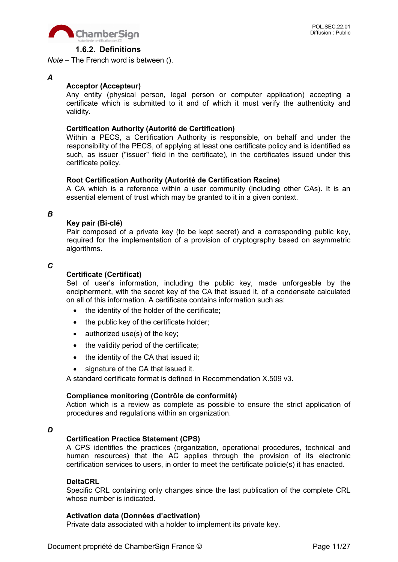

#### **1.6.2. Definitions**

*Note* – The French word is between ().

#### *A*

#### **Acceptor (Accepteur)**

Any entity (physical person, legal person or computer application) accepting a certificate which is submitted to it and of which it must verify the authenticity and validity.

#### **Certification Authority (Autorité de Certification)**

Within a PECS, a Certification Authority is responsible, on behalf and under the responsibility of the PECS, of applying at least one certificate policy and is identified as such, as issuer ("issuer" field in the certificate), in the certificates issued under this certificate policy.

#### **Root Certification Authority (Autorité de Certification Racine)**

A CA which is a reference within a user community (including other CAs). It is an essential element of trust which may be granted to it in a given context.

#### *B*

#### **Key pair (Bi-clé)**

Pair composed of a private key (to be kept secret) and a corresponding public key, required for the implementation of a provision of cryptography based on asymmetric algorithms.

#### *C*

#### **Certificate (Certificat)**

Set of user's information, including the public key, made unforgeable by the encipherment, with the secret key of the CA that issued it, of a condensate calculated on all of this information. A certificate contains information such as:

- the identity of the holder of the certificate;
- the public key of the certificate holder;
- $\bullet$  authorized use(s) of the key;
- the validity period of the certificate;
- $\bullet$  the identity of the CA that issued it;
- signature of the CA that issued it.

A standard certificate format is defined in Recommendation X.509 v3.

#### **Compliance monitoring (Contrôle de conformité)**

Action which is a review as complete as possible to ensure the strict application of procedures and regulations within an organization.

#### *D*

#### **Certification Practice Statement (CPS)**

A CPS identifies the practices (organization, operational procedures, technical and human resources) that the AC applies through the provision of its electronic certification services to users, in order to meet the certificate policie(s) it has enacted.

#### **DeltaCRL**

Specific CRL containing only changes since the last publication of the complete CRL whose number is indicated.

#### **Activation data (Données d'activation)**

Private data associated with a holder to implement its private key.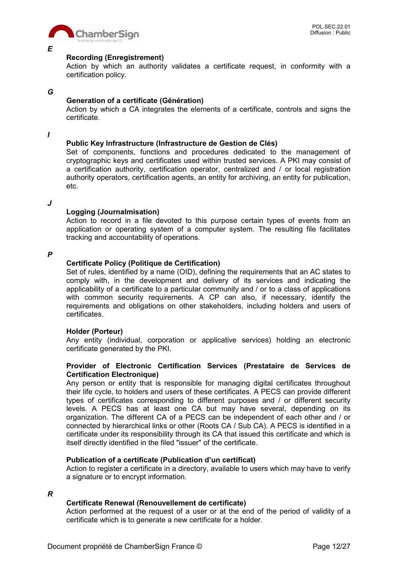

#### *E*

#### **Recording (Enregistrement)**

Action by which an authority validates a certificate request, in conformity with a certification policy.

#### *G*

#### **Generation of a certificate (Génération)**

Action by which a CA integrates the elements of a certificate, controls and signs the certificate.

*I*

#### **Public Key Infrastructure (Infrastructure de Gestion de Clés)**

Set of components, functions and procedures dedicated to the management of cryptographic keys and certificates used within trusted services. A PKI may consist of a certification authority, certification operator, centralized and / or local registration authority operators, certification agents, an entity for archiving, an entity for publication, etc.

*J*

#### **Logging (Journalmisation)**

Action to record in a file devoted to this purpose certain types of events from an application or operating system of a computer system. The resulting file facilitates tracking and accountability of operations.

#### *P*

#### **Certificate Policy (Politique de Certification)**

Set of rules, identified by a name (OID), defining the requirements that an AC states to comply with, in the development and delivery of its services and indicating the applicability of a certificate to a particular community and / or to a class of applications with common security requirements. A CP can also, if necessary, identify the requirements and obligations on other stakeholders, including holders and users of certificates.

#### **Holder (Porteur)**

Any entity (individual, corporation or applicative services) holding an electronic certificate generated by the PKI.

#### **Provider of Electronic Certification Services (Prestataire de Services de Certification Electronique)**

Any person or entity that is responsible for managing digital certificates throughout their life cycle, to holders and users of these certificates. A PECS can provide different types of certificates corresponding to different purposes and / or different security levels. A PECS has at least one CA but may have several, depending on its organization. The different CA of a PECS can be independent of each other and / or connected by hierarchical links or other (Roots CA / Sub CA). A PECS is identified in a certificate under its responsibility through its CA that issued this certificate and which is itself directly identified in the filed "issuer" of the certificate.

#### **Publication of a certificate (Publication d'un certificat)**

Action to register a certificate in a directory, available to users which may have to verify a signature or to encrypt information.

*R*

#### **Certificate Renewal (Renouvellement de certificate)**

Action performed at the request of a user or at the end of the period of validity of a certificate which is to generate a new certificate for a holder.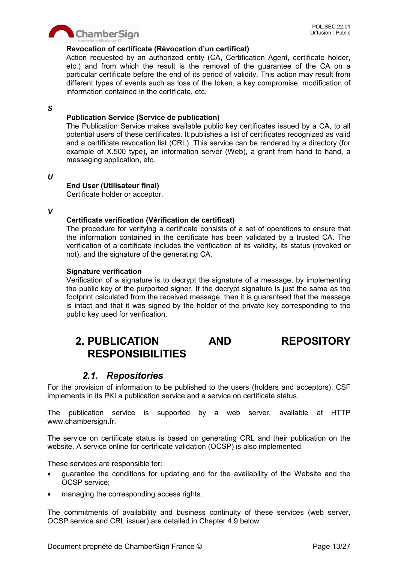

#### **Revocation of certificate (Révocation d'un certificat)**

Action requested by an authorized entity (CA, Certification Agent, certificate holder, etc.) and from which the result is the removal of the guarantee of the CA on a particular certificate before the end of its period of validity. This action may result from different types of events such as loss of the token, a key compromise, modification of information contained in the certificate, etc.

#### *S*

#### **Publication Service (Service de publication)**

The Publication Service makes available public key certificates issued by a CA, to all potential users of these certificates. It publishes a list of certificates recognized as valid and a certificate revocation list (CRL). This service can be rendered by a directory (for example of X.500 type), an information server (Web), a grant from hand to hand, a messaging application, etc.

#### *U*

#### **End User (Utilisateur final)**

Certificate holder or acceptor.

#### *V*

#### **Certificate verification (Vérification de certificat)**

The procedure for verifying a certificate consists of a set of operations to ensure that the information contained in the certificate has been validated by a trusted CA. The verification of a certificate includes the verification of its validity, its status (revoked or not), and the signature of the generating CA.

#### **Signature verification**

Verification of a signature is to decrypt the signature of a message, by implementing the public key of the purported signer. If the decrypt signature is just the same as the footprint calculated from the received message, then it is guaranteed that the message is intact and that it was signed by the holder of the private key corresponding to the public key used for verification.

# **2. PUBLICATION AND REPOSITORY RESPONSIBILITIES**

## *2.1. Repositories*

For the provision of information to be published to the users (holders and acceptors), CSF implements in its PKI a publication service and a service on certificate status.

The publication service is supported by a web server, available at HTTP www.chambersign.fr.

The service on certificate status is based on generating CRL and their publication on the website. A service online for certificate validation (OCSP) is also implemented.

These services are responsible for:

- guarantee the conditions for updating and for the availability of the Website and the OCSP service;
- managing the corresponding access rights.

The commitments of availability and business continuity of these services (web server, OCSP service and CRL issuer) are detailed in Chapter 4.9 below.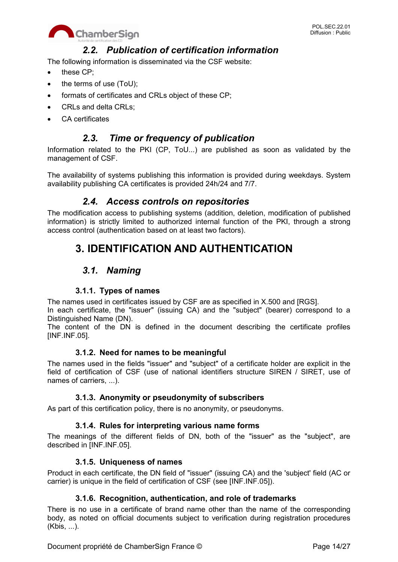

## *2.2. Publication of certification information*

The following information is disseminated via the CSF website:

- these CP:
- the terms of use (ToU);
- formats of certificates and CRLs object of these CP;
- CRLs and delta CRLs:
- CA certificates

# *2.3. Time or frequency of publication*

Information related to the PKI (CP, ToU...) are published as soon as validated by the management of CSF.

The availability of systems publishing this information is provided during weekdays. System availability publishing CA certificates is provided 24h/24 and 7/7.

## *2.4. Access controls on repositories*

The modification access to publishing systems (addition, deletion, modification of published information) is strictly limited to authorized internal function of the PKI, through a strong access control (authentication based on at least two factors).

# **3. IDENTIFICATION AND AUTHENTICATION**

# *3.1. Naming*

### **3.1.1. Types of names**

The names used in certificates issued by CSF are as specified in X.500 and [RGS].

In each certificate, the "issuer" (issuing CA) and the "subject" (bearer) correspond to a Distinguished Name (DN).

The content of the DN is defined in the document describing the certificate profiles [INF.INF.05].

### **3.1.2. Need for names to be meaningful**

The names used in the fields "issuer" and "subject" of a certificate holder are explicit in the field of certification of CSF (use of national identifiers structure SIREN / SIRET, use of names of carriers, ...).

### **3.1.3. Anonymity or pseudonymity of subscribers**

As part of this certification policy, there is no anonymity, or pseudonyms.

### **3.1.4. Rules for interpreting various name forms**

The meanings of the different fields of DN, both of the "issuer" as the "subject", are described in [INF.INF.05].

### **3.1.5. Uniqueness of names**

Product in each certificate, the DN field of "issuer" (issuing CA) and the 'subject' field (AC or carrier) is unique in the field of certification of CSF (see [INF.INF.05]).

### **3.1.6. Recognition, authentication, and role of trademarks**

There is no use in a certificate of brand name other than the name of the corresponding body, as noted on official documents subject to verification during registration procedures (Kbis, ...).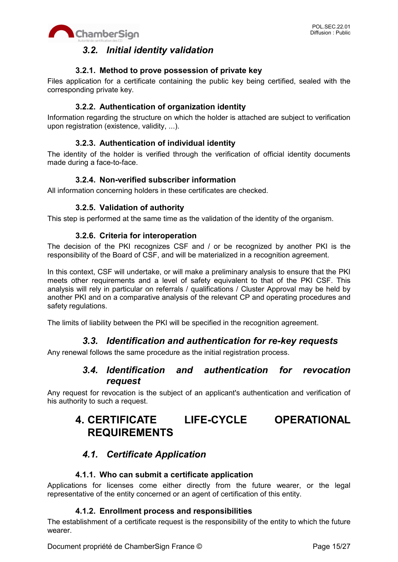

# *3.2. Initial identity validation*

### **3.2.1. Method to prove possession of private key**

Files application for a certificate containing the public key being certified, sealed with the corresponding private key.

### **3.2.2. Authentication of organization identity**

Information regarding the structure on which the holder is attached are subject to verification upon registration (existence, validity, ...).

## **3.2.3. Authentication of individual identity**

The identity of the holder is verified through the verification of official identity documents made during a face-to-face.

### **3.2.4. Non-verified subscriber information**

All information concerning holders in these certificates are checked.

### **3.2.5. Validation of authority**

This step is performed at the same time as the validation of the identity of the organism.

#### **3.2.6. Criteria for interoperation**

The decision of the PKI recognizes CSF and / or be recognized by another PKI is the responsibility of the Board of CSF, and will be materialized in a recognition agreement.

In this context, CSF will undertake, or will make a preliminary analysis to ensure that the PKI meets other requirements and a level of safety equivalent to that of the PKI CSF. This analysis will rely in particular on referrals / qualifications / Cluster Approval may be held by another PKI and on a comparative analysis of the relevant CP and operating procedures and safety regulations.

The limits of liability between the PKI will be specified in the recognition agreement.

## *3.3. Identification and authentication for re-key requests*

Any renewal follows the same procedure as the initial registration process.

## *3.4. Identification and authentication for revocation request*

Any request for revocation is the subject of an applicant's authentication and verification of his authority to such a request.

# **4. CERTIFICATE LIFE-CYCLE OPERATIONAL REQUIREMENTS**

# *4.1. Certificate Application*

### **4.1.1. Who can submit a certificate application**

Applications for licenses come either directly from the future wearer, or the legal representative of the entity concerned or an agent of certification of this entity.

### **4.1.2. Enrollment process and responsibilities**

The establishment of a certificate request is the responsibility of the entity to which the future wearer.

Document propriété de ChamberSign France © Page 15/27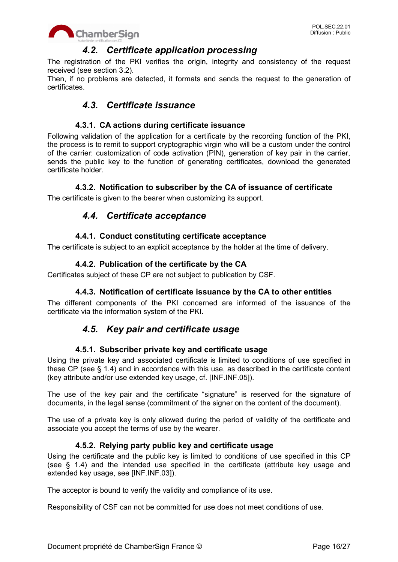

## *4.2. Certificate application processing*

The registration of the PKI verifies the origin, integrity and consistency of the request received (see section 3.2).

Then, if no problems are detected, it formats and sends the request to the generation of certificates.

# *4.3. Certificate issuance*

#### **4.3.1. CA actions during certificate issuance**

Following validation of the application for a certificate by the recording function of the PKI, the process is to remit to support cryptographic virgin who will be a custom under the control of the carrier: customization of code activation (PIN), generation of key pair in the carrier, sends the public key to the function of generating certificates, download the generated certificate holder.

#### **4.3.2. Notification to subscriber by the CA of issuance of certificate**

The certificate is given to the bearer when customizing its support.

# *4.4. Certificate acceptance*

#### **4.4.1. Conduct constituting certificate acceptance**

The certificate is subject to an explicit acceptance by the holder at the time of delivery.

### **4.4.2. Publication of the certificate by the CA**

Certificates subject of these CP are not subject to publication by CSF.

#### **4.4.3. Notification of certificate issuance by the CA to other entities**

The different components of the PKI concerned are informed of the issuance of the certificate via the information system of the PKI.

## *4.5. Key pair and certificate usage*

#### **4.5.1. Subscriber private key and certificate usage**

Using the private key and associated certificate is limited to conditions of use specified in these CP (see § 1.4) and in accordance with this use, as described in the certificate content (key attribute and/or use extended key usage, cf. [INF.INF.05]).

The use of the key pair and the certificate "signature" is reserved for the signature of documents, in the legal sense (commitment of the signer on the content of the document).

The use of a private key is only allowed during the period of validity of the certificate and associate you accept the terms of use by the wearer.

#### **4.5.2. Relying party public key and certificate usage**

Using the certificate and the public key is limited to conditions of use specified in this CP (see § 1.4) and the intended use specified in the certificate (attribute key usage and extended key usage, see [INF.INF.03]).

The acceptor is bound to verify the validity and compliance of its use.

Responsibility of CSF can not be committed for use does not meet conditions of use.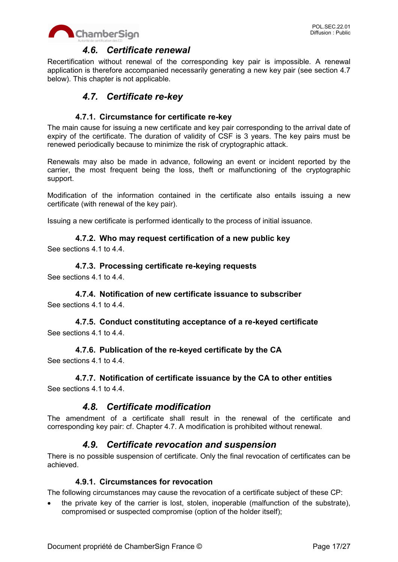



## *4.6. Certificate renewal*

Recertification without renewal of the corresponding key pair is impossible. A renewal application is therefore accompanied necessarily generating a new key pair (see section 4.7 below). This chapter is not applicable.

# *4.7. Certificate re-key*

### **4.7.1. Circumstance for certificate re-key**

The main cause for issuing a new certificate and key pair corresponding to the arrival date of expiry of the certificate. The duration of validity of CSF is 3 years. The key pairs must be renewed periodically because to minimize the risk of cryptographic attack.

Renewals may also be made in advance, following an event or incident reported by the carrier, the most frequent being the loss, theft or malfunctioning of the cryptographic support.

Modification of the information contained in the certificate also entails issuing a new certificate (with renewal of the key pair).

Issuing a new certificate is performed identically to the process of initial issuance.

#### **4.7.2. Who may request certification of a new public key**

See sections 4.1 to 4.4.

#### **4.7.3. Processing certificate re-keying requests**

See sections 4.1 to 4.4.

# **4.7.4. Notification of new certificate issuance to subscriber**

See sections 4.1 to 4.4.

## **4.7.5. Conduct constituting acceptance of a re-keyed certificate** See sections 4.1 to 4.4.

# **4.7.6. Publication of the re-keyed certificate by the CA**

See sections 4.1 to 4.4.

### **4.7.7. Notification of certificate issuance by the CA to other entities**

See sections 4.1 to 4.4.

## *4.8. Certificate modification*

The amendment of a certificate shall result in the renewal of the certificate and corresponding key pair: cf. Chapter 4.7. A modification is prohibited without renewal.

## *4.9. Certificate revocation and suspension*

There is no possible suspension of certificate. Only the final revocation of certificates can be achieved.

### **4.9.1. Circumstances for revocation**

The following circumstances may cause the revocation of a certificate subject of these CP:

 the private key of the carrier is lost, stolen, inoperable (malfunction of the substrate), compromised or suspected compromise (option of the holder itself);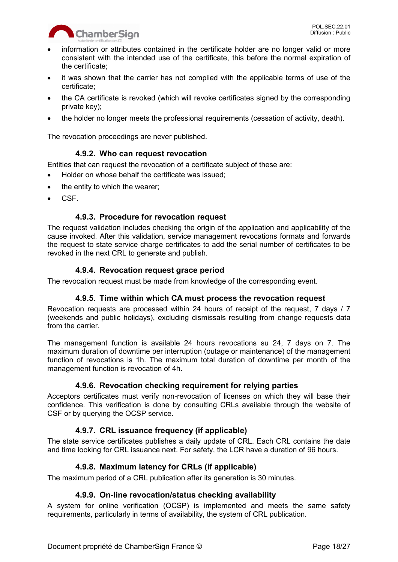

- information or attributes contained in the certificate holder are no longer valid or more consistent with the intended use of the certificate, this before the normal expiration of the certificate;
- it was shown that the carrier has not complied with the applicable terms of use of the certificate;
- the CA certificate is revoked (which will revoke certificates signed by the corresponding private key);
- the holder no longer meets the professional requirements (cessation of activity, death).

The revocation proceedings are never published.

### **4.9.2. Who can request revocation**

Entities that can request the revocation of a certificate subject of these are:

- Holder on whose behalf the certificate was issued;
- the entity to which the wearer;
- CSF.

### **4.9.3. Procedure for revocation request**

The request validation includes checking the origin of the application and applicability of the cause invoked. After this validation, service management revocations formats and forwards the request to state service charge certificates to add the serial number of certificates to be revoked in the next CRL to generate and publish.

## **4.9.4. Revocation request grace period**

The revocation request must be made from knowledge of the corresponding event.

### **4.9.5. Time within which CA must process the revocation request**

Revocation requests are processed within 24 hours of receipt of the request, 7 days / 7 (weekends and public holidays), excluding dismissals resulting from change requests data from the carrier.

The management function is available 24 hours revocations su 24, 7 days on 7. The maximum duration of downtime per interruption (outage or maintenance) of the management function of revocations is 1h. The maximum total duration of downtime per month of the management function is revocation of 4h.

### **4.9.6. Revocation checking requirement for relying parties**

Acceptors certificates must verify non-revocation of licenses on which they will base their confidence. This verification is done by consulting CRLs available through the website of CSF or by querying the OCSP service.

### **4.9.7. CRL issuance frequency (if applicable)**

The state service certificates publishes a daily update of CRL. Each CRL contains the date and time looking for CRL issuance next. For safety, the LCR have a duration of 96 hours.

### **4.9.8. Maximum latency for CRLs (if applicable)**

The maximum period of a CRL publication after its generation is 30 minutes.

### **4.9.9. On-line revocation/status checking availability**

A system for online verification (OCSP) is implemented and meets the same safety requirements, particularly in terms of availability, the system of CRL publication.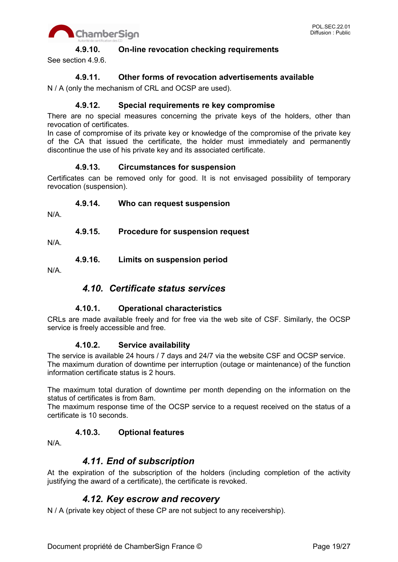

#### **4.9.10. On-line revocation checking requirements**

See section 4.9.6.

### **4.9.11. Other forms of revocation advertisements available**

N / A (only the mechanism of CRL and OCSP are used).

#### **4.9.12. Special requirements re key compromise**

There are no special measures concerning the private keys of the holders, other than revocation of certificates.

In case of compromise of its private key or knowledge of the compromise of the private key of the CA that issued the certificate, the holder must immediately and permanently discontinue the use of his private key and its associated certificate.

#### **4.9.13. Circumstances for suspension**

Certificates can be removed only for good. It is not envisaged possibility of temporary revocation (suspension).

#### **4.9.14. Who can request suspension**

N/A.

#### **4.9.15. Procedure for suspension request**

N/A.

**4.9.16. Limits on suspension period**

N/A.

## *4.10. Certificate status services*

### **4.10.1. Operational characteristics**

CRLs are made available freely and for free via the web site of CSF. Similarly, the OCSP service is freely accessible and free.

#### **4.10.2. Service availability**

The service is available 24 hours / 7 days and 24/7 via the website CSF and OCSP service. The maximum duration of downtime per interruption (outage or maintenance) of the function information certificate status is 2 hours.

The maximum total duration of downtime per month depending on the information on the status of certificates is from 8am.

The maximum response time of the OCSP service to a request received on the status of a certificate is 10 seconds.

### **4.10.3. Optional features**

N/A.

## *4.11. End of subscription*

At the expiration of the subscription of the holders (including completion of the activity justifying the award of a certificate), the certificate is revoked.

## *4.12. Key escrow and recovery*

N / A (private key object of these CP are not subject to any receivership).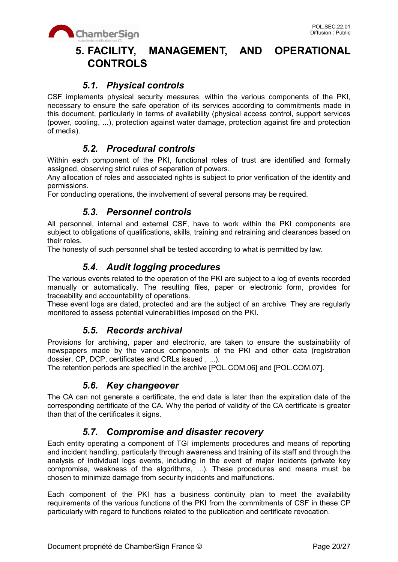

# **5. FACILITY, MANAGEMENT, AND OPERATIONAL CONTROLS**

# *5.1. Physical controls*

CSF implements physical security measures, within the various components of the PKI, necessary to ensure the safe operation of its services according to commitments made in this document, particularly in terms of availability (physical access control, support services (power, cooling, ...), protection against water damage, protection against fire and protection of media).

# *5.2. Procedural controls*

Within each component of the PKI, functional roles of trust are identified and formally assigned, observing strict rules of separation of powers.

Any allocation of roles and associated rights is subject to prior verification of the identity and permissions.

For conducting operations, the involvement of several persons may be required.

## *5.3. Personnel controls*

All personnel, internal and external CSF, have to work within the PKI components are subject to obligations of qualifications, skills, training and retraining and clearances based on their roles.

The honesty of such personnel shall be tested according to what is permitted by law.

# *5.4. Audit logging procedures*

The various events related to the operation of the PKI are subject to a log of events recorded manually or automatically. The resulting files, paper or electronic form, provides for traceability and accountability of operations.

These event logs are dated, protected and are the subject of an archive. They are regularly monitored to assess potential vulnerabilities imposed on the PKI.

## *5.5. Records archival*

Provisions for archiving, paper and electronic, are taken to ensure the sustainability of newspapers made by the various components of the PKI and other data (registration dossier, CP, DCP, certificates and CRLs issued , ...).

The retention periods are specified in the archive [POL.COM.06] and [POL.COM.07].

## *5.6. Key changeover*

The CA can not generate a certificate, the end date is later than the expiration date of the corresponding certificate of the CA. Why the period of validity of the CA certificate is greater than that of the certificates it signs.

## *5.7. Compromise and disaster recovery*

Each entity operating a component of TGI implements procedures and means of reporting and incident handling, particularly through awareness and training of its staff and through the analysis of individual logs events, including in the event of major incidents (private key compromise, weakness of the algorithms, ...). These procedures and means must be chosen to minimize damage from security incidents and malfunctions.

Each component of the PKI has a business continuity plan to meet the availability requirements of the various functions of the PKI from the commitments of CSF in these CP particularly with regard to functions related to the publication and certificate revocation.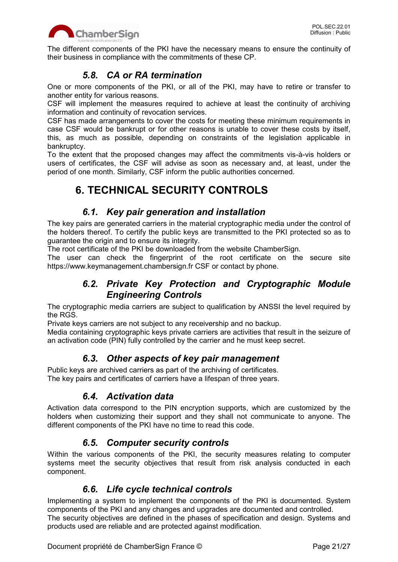

The different components of the PKI have the necessary means to ensure the continuity of their business in compliance with the commitments of these CP.

# *5.8. CA or RA termination*

One or more components of the PKI, or all of the PKI, may have to retire or transfer to another entity for various reasons.

CSF will implement the measures required to achieve at least the continuity of archiving information and continuity of revocation services.

CSF has made arrangements to cover the costs for meeting these minimum requirements in case CSF would be bankrupt or for other reasons is unable to cover these costs by itself, this, as much as possible, depending on constraints of the legislation applicable in bankruptcy.

To the extent that the proposed changes may affect the commitments vis-à-vis holders or users of certificates, the CSF will advise as soon as necessary and, at least, under the period of one month. Similarly, CSF inform the public authorities concerned.

# **6. TECHNICAL SECURITY CONTROLS**

# *6.1. Key pair generation and installation*

The key pairs are generated carriers in the material cryptographic media under the control of the holders thereof. To certify the public keys are transmitted to the PKI protected so as to guarantee the origin and to ensure its integrity.

The root certificate of the PKI be downloaded from the website ChamberSign.

The user can check the fingerprint of the root certificate on the secure site https://www.keymanagement.chambersign.fr CSF or contact by phone.

# *6.2. Private Key Protection and Cryptographic Module Engineering Controls*

The cryptographic media carriers are subject to qualification by ANSSI the level required by the RGS.

Private keys carriers are not subject to any receivership and no backup.

Media containing cryptographic keys private carriers are activities that result in the seizure of an activation code (PIN) fully controlled by the carrier and he must keep secret.

# *6.3. Other aspects of key pair management*

Public keys are archived carriers as part of the archiving of certificates. The key pairs and certificates of carriers have a lifespan of three years.

# *6.4. Activation data*

Activation data correspond to the PIN encryption supports, which are customized by the holders when customizing their support and they shall not communicate to anyone. The different components of the PKI have no time to read this code.

# *6.5. Computer security controls*

Within the various components of the PKI, the security measures relating to computer systems meet the security objectives that result from risk analysis conducted in each component.

# *6.6. Life cycle technical controls*

Implementing a system to implement the components of the PKI is documented. System components of the PKI and any changes and upgrades are documented and controlled. The security objectives are defined in the phases of specification and design. Systems and products used are reliable and are protected against modification.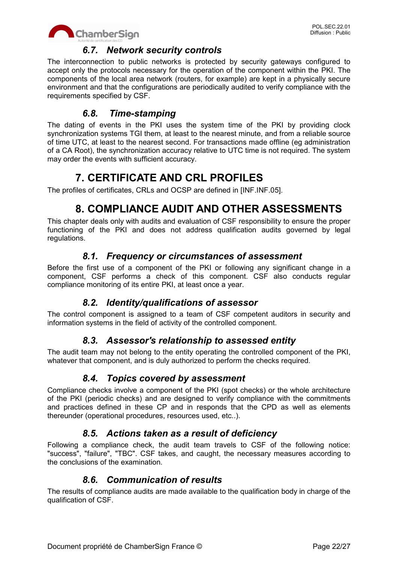

# *6.7. Network security controls*

The interconnection to public networks is protected by security gateways configured to accept only the protocols necessary for the operation of the component within the PKI. The components of the local area network (routers, for example) are kept in a physically secure environment and that the configurations are periodically audited to verify compliance with the requirements specified by CSF.

# *6.8. Time-stamping*

The dating of events in the PKI uses the system time of the PKI by providing clock synchronization systems TGI them, at least to the nearest minute, and from a reliable source of time UTC, at least to the nearest second. For transactions made offline (eg administration of a CA Root), the synchronization accuracy relative to UTC time is not required. The system may order the events with sufficient accuracy.

# **7. CERTIFICATE AND CRL PROFILES**

The profiles of certificates, CRLs and OCSP are defined in [INF.INF.05].

# **8. COMPLIANCE AUDIT AND OTHER ASSESSMENTS**

This chapter deals only with audits and evaluation of CSF responsibility to ensure the proper functioning of the PKI and does not address qualification audits governed by legal regulations.

# *8.1. Frequency or circumstances of assessment*

Before the first use of a component of the PKI or following any significant change in a component, CSF performs a check of this component. CSF also conducts regular compliance monitoring of its entire PKI, at least once a year.

# *8.2. Identity/qualifications of assessor*

The control component is assigned to a team of CSF competent auditors in security and information systems in the field of activity of the controlled component.

# *8.3. Assessor's relationship to assessed entity*

The audit team may not belong to the entity operating the controlled component of the PKI, whatever that component, and is duly authorized to perform the checks required.

# *8.4. Topics covered by assessment*

Compliance checks involve a component of the PKI (spot checks) or the whole architecture of the PKI (periodic checks) and are designed to verify compliance with the commitments and practices defined in these CP and in responds that the CPD as well as elements thereunder (operational procedures, resources used, etc..).

# *8.5. Actions taken as a result of deficiency*

Following a compliance check, the audit team travels to CSF of the following notice: "success", "failure", "TBC". CSF takes, and caught, the necessary measures according to the conclusions of the examination.

# *8.6. Communication of results*

The results of compliance audits are made available to the qualification body in charge of the qualification of CSF.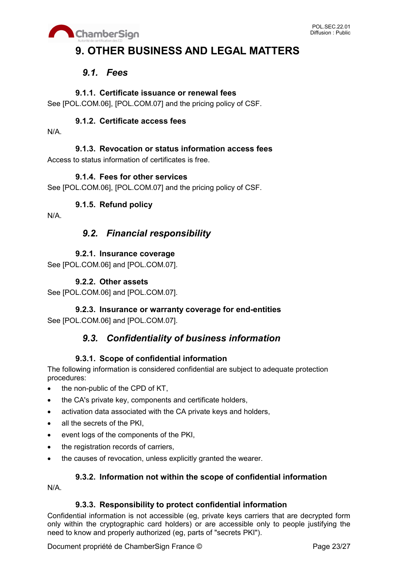

# **9. OTHER BUSINESS AND LEGAL MATTERS**

# *9.1. Fees*

## **9.1.1. Certificate issuance or renewal fees**

See [POL.COM.06], [POL.COM.07] and the pricing policy of CSF.

## **9.1.2. Certificate access fees**

N/A.

## **9.1.3. Revocation or status information access fees**

Access to status information of certificates is free.

## **9.1.4. Fees for other services**

See [POL.COM.06], [POL.COM.07] and the pricing policy of CSF.

## **9.1.5. Refund policy**

N/A.

# *9.2. Financial responsibility*

## **9.2.1. Insurance coverage**

See [POL.COM.06] and [POL.COM.07].

## **9.2.2. Other assets**

See [POL.COM.06] and [POL.COM.07].

# **9.2.3. Insurance or warranty coverage for end-entities**

See [POL.COM.06] and [POL.COM.07].

# *9.3. Confidentiality of business information*

## **9.3.1. Scope of confidential information**

The following information is considered confidential are subject to adequate protection procedures:

- the non-public of the CPD of KT,
- the CA's private key, components and certificate holders,
- activation data associated with the CA private keys and holders,
- all the secrets of the PKI.
- event logs of the components of the PKI,
- the registration records of carriers,
- the causes of revocation, unless explicitly granted the wearer.

### **9.3.2. Information not within the scope of confidential information**

N/A.

### **9.3.3. Responsibility to protect confidential information**

Confidential information is not accessible (eg, private keys carriers that are decrypted form only within the cryptographic card holders) or are accessible only to people justifying the need to know and properly authorized (eg, parts of "secrets PKI").

Document propriété de ChamberSign France © Page 23/27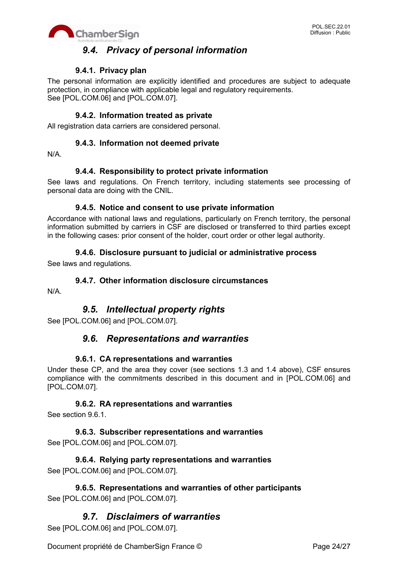

# *9.4. Privacy of personal information*

## **9.4.1. Privacy plan**

The personal information are explicitly identified and procedures are subject to adequate protection, in compliance with applicable legal and regulatory requirements. See [POL.COM.06] and [POL.COM.07].

### **9.4.2. Information treated as private**

All registration data carriers are considered personal.

#### **9.4.3. Information not deemed private**

N/A.

### **9.4.4. Responsibility to protect private information**

See laws and regulations. On French territory, including statements see processing of personal data are doing with the CNIL.

#### **9.4.5. Notice and consent to use private information**

Accordance with national laws and regulations, particularly on French territory, the personal information submitted by carriers in CSF are disclosed or transferred to third parties except in the following cases: prior consent of the holder, court order or other legal authority.

### **9.4.6. Disclosure pursuant to judicial or administrative process**

See laws and regulations.

#### **9.4.7. Other information disclosure circumstances**

N/A.

# *9.5. Intellectual property rights*

See [POL.COM.06] and [POL.COM.07].

## *9.6. Representations and warranties*

#### **9.6.1. CA representations and warranties**

Under these CP, and the area they cover (see sections 1.3 and 1.4 above), CSF ensures compliance with the commitments described in this document and in [POL.COM.06] and [POL.COM.07].

### **9.6.2. RA representations and warranties**

See section 9.6.1.

#### **9.6.3. Subscriber representations and warranties** See [POL.COM.06] and [POL.COM.07].

## **9.6.4. Relying party representations and warranties** See [POL.COM.06] and [POL.COM.07].

**9.6.5. Representations and warranties of other participants** See [POL.COM.06] and [POL.COM.07].

# *9.7. Disclaimers of warranties*

See [POL.COM.06] and [POL.COM.07].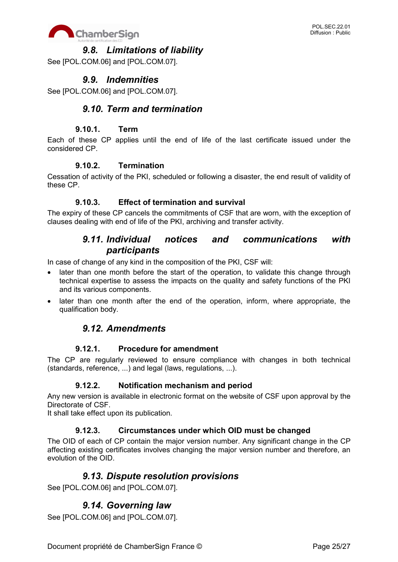

# *9.8. Limitations of liability*

See [POL.COM.06] and [POL.COM.07].

# *9.9. Indemnities*

See [POL.COM.06] and [POL.COM.07].

## *9.10. Term and termination*

### **9.10.1. Term**

Each of these CP applies until the end of life of the last certificate issued under the considered CP.

#### **9.10.2. Termination**

Cessation of activity of the PKI, scheduled or following a disaster, the end result of validity of these CP.

### **9.10.3. Effect of termination and survival**

The expiry of these CP cancels the commitments of CSF that are worn, with the exception of clauses dealing with end of life of the PKI, archiving and transfer activity.

# *9.11. Individual notices and communications with participants*

In case of change of any kind in the composition of the PKI, CSF will:

- later than one month before the start of the operation, to validate this change through technical expertise to assess the impacts on the quality and safety functions of the PKI and its various components.
- later than one month after the end of the operation, inform, where appropriate, the qualification body.

## *9.12. Amendments*

#### **9.12.1. Procedure for amendment**

The CP are regularly reviewed to ensure compliance with changes in both technical (standards, reference, ...) and legal (laws, regulations, ...).

### **9.12.2. Notification mechanism and period**

Any new version is available in electronic format on the website of CSF upon approval by the Directorate of CSF.

It shall take effect upon its publication.

### **9.12.3. Circumstances under which OID must be changed**

The OID of each of CP contain the major version number. Any significant change in the CP affecting existing certificates involves changing the major version number and therefore, an evolution of the OID.

## *9.13. Dispute resolution provisions*

See [POL.COM.06] and [POL.COM.07].

# *9.14. Governing law*

See [POL.COM.06] and [POL.COM.07].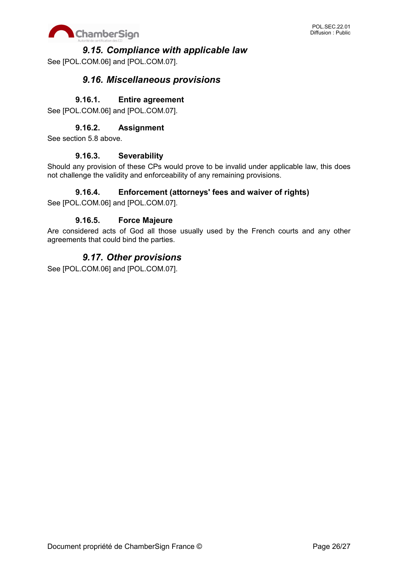

## *9.15. Compliance with applicable law*

See [POL.COM.06] and [POL.COM.07].

# *9.16. Miscellaneous provisions*

## **9.16.1. Entire agreement**

See [POL.COM.06] and [POL.COM.07].

## **9.16.2. Assignment**

See section 5.8 above.

#### **9.16.3. Severability**

Should any provision of these CPs would prove to be invalid under applicable law, this does not challenge the validity and enforceability of any remaining provisions.

### **9.16.4. Enforcement (attorneys' fees and waiver of rights)**

See [POL.COM.06] and [POL.COM.07].

### **9.16.5. Force Majeure**

Are considered acts of God all those usually used by the French courts and any other agreements that could bind the parties.

# *9.17. Other provisions*

See [POL.COM.06] and [POL.COM.07].